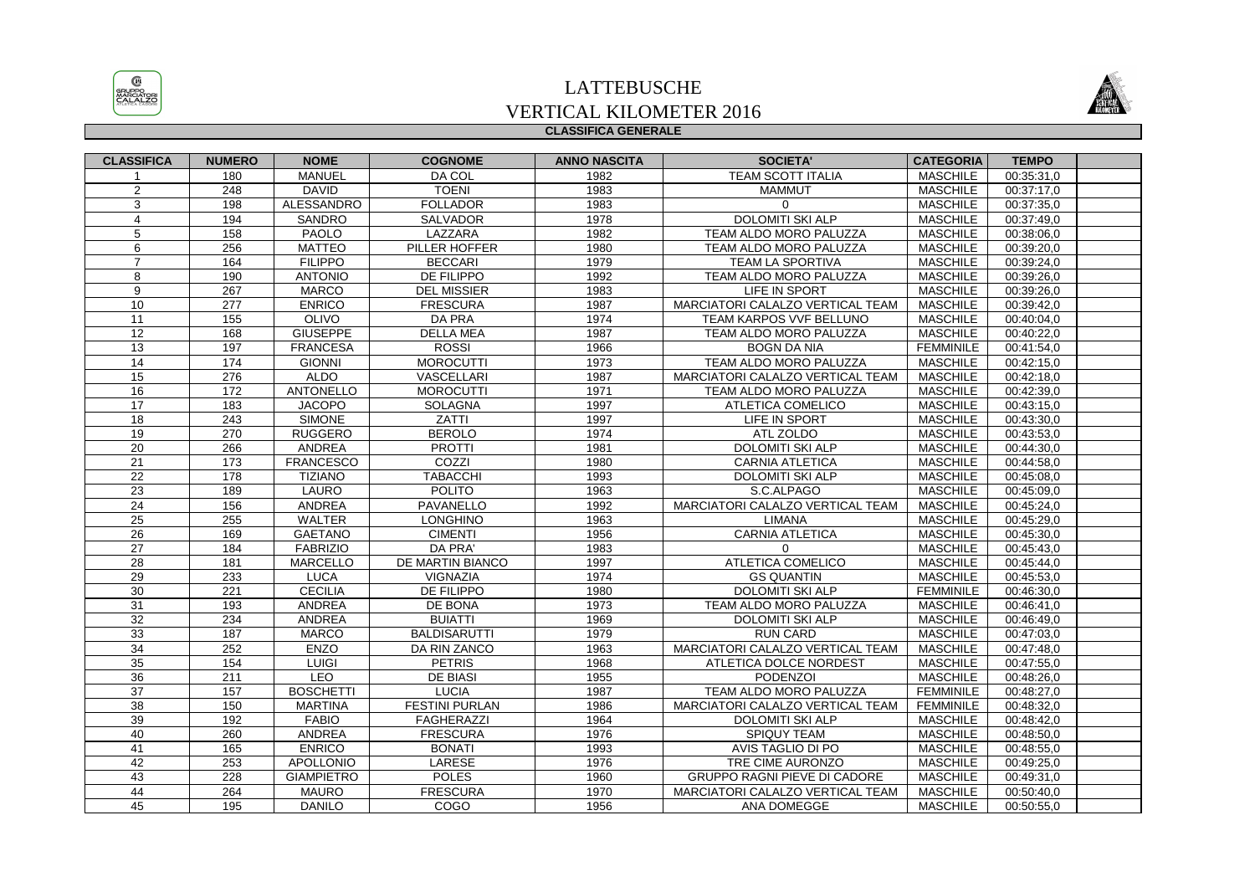

## **CLASSIFICA GENERALE**LATTEBUSCHE VERTICAL KILOMETER 2016



| <b>CLASSIFICA</b> | <b>NUMERO</b>    | <b>NOME</b>       | <b>COGNOME</b>        | <b>ANNO NASCITA</b> | <b>SOCIETA'</b>                     | <b>CATEGORIA</b> | <b>TEMPO</b>             |  |
|-------------------|------------------|-------------------|-----------------------|---------------------|-------------------------------------|------------------|--------------------------|--|
|                   | 180              | <b>MANUEL</b>     | DA COL                | 1982                | TEAM SCOTT ITALIA                   | <b>MASCHILE</b>  | 00:35:31,0               |  |
| 2                 | 248              | <b>DAVID</b>      | <b>TOENI</b>          | 1983                | <b>MAMMUT</b>                       | <b>MASCHILE</b>  | 00:37:17,0               |  |
| 3                 | 198              | ALESSANDRO        | <b>FOLLADOR</b>       | 1983                | $\Omega$                            | <b>MASCHILE</b>  | 00:37:35,0               |  |
| $\overline{4}$    | 194              | SANDRO            | SALVADOR              | 1978                | <b>DOLOMITI SKI ALP</b>             | <b>MASCHILE</b>  | 00:37:49,0               |  |
| 5                 | 158              | PAOLO             | LAZZARA               | 1982                | TEAM ALDO MORO PALUZZA              | <b>MASCHILE</b>  | 00:38:06,0               |  |
| 6                 | 256              | <b>MATTEO</b>     | PILLER HOFFER         | 1980                | TEAM ALDO MORO PALUZZA              | <b>MASCHILE</b>  | 00:39:20,0               |  |
| $\overline{7}$    | 164              | <b>FILIPPO</b>    | <b>BECCARI</b>        | 1979                | TEAM LA SPORTIVA                    | <b>MASCHILE</b>  | 00:39:24,0               |  |
| 8                 | 190              | <b>ANTONIO</b>    | DE FILIPPO            | 1992                | TEAM ALDO MORO PALUZZA              | <b>MASCHILE</b>  | 00:39:26,0               |  |
| 9                 | 267              | <b>MARCO</b>      | <b>DEL MISSIER</b>    | 1983                | LIFE IN SPORT                       | <b>MASCHILE</b>  | 00:39:26,0               |  |
| $\overline{10}$   | $\overline{277}$ | <b>ENRICO</b>     | <b>FRESCURA</b>       | 1987                | MARCIATORI CALALZO VERTICAL TEAM    | <b>MASCHILE</b>  | 00:39:42,0               |  |
| 11                | 155              | OLIVO             | DA PRA                | 1974                | TEAM KARPOS VVF BELLUNO             | <b>MASCHILE</b>  | 00:40:04,0               |  |
| 12                | 168              | <b>GIUSEPPE</b>   | <b>DELLA MEA</b>      | 1987                | TEAM ALDO MORO PALUZZA              | <b>MASCHILE</b>  | 00:40:22.0               |  |
| 13                | 197              | <b>FRANCESA</b>   | <b>ROSSI</b>          | 1966                | <b>BOGN DA NIA</b>                  | <b>FEMMINILE</b> | 00:41:54,0               |  |
| 14                | 174              | <b>GIONNI</b>     | <b>MOROCUTTI</b>      | 1973                | TEAM ALDO MORO PALUZZA              | <b>MASCHILE</b>  | 00:42:15,0               |  |
| 15                | 276              | <b>ALDO</b>       | VASCELLARI            | 1987                | MARCIATORI CALALZO VERTICAL TEAM    | <b>MASCHILE</b>  | 00:42:18,0               |  |
| 16                | 172              | ANTONELLO         | <b>MOROCUTTI</b>      | 1971                | TEAM ALDO MORO PALUZZA              | <b>MASCHILE</b>  | 00:42:39,0               |  |
| 17                | 183              | <b>JACOPO</b>     | <b>SOLAGNA</b>        | 1997                | ATLETICA COMELICO                   | <b>MASCHILE</b>  | 00:43:15,0               |  |
| $\overline{18}$   | 243              | <b>SIMONE</b>     | ZATTI                 | 1997                | LIFE IN SPORT                       | <b>MASCHILE</b>  | 00:43:30,0               |  |
| 19                | 270              | <b>RUGGERO</b>    | <b>BEROLO</b>         | 1974                | ATL ZOLDO                           | <b>MASCHILE</b>  | 00:43:53,0               |  |
| $\overline{20}$   | 266              | ANDREA            | <b>PROTTI</b>         | 1981                | <b>DOLOMITI SKI ALP</b>             | <b>MASCHILE</b>  | 00:44:30,0               |  |
| 21                | 173              | <b>FRANCESCO</b>  | COZZI                 | 1980                | <b>CARNIA ATLETICA</b>              | <b>MASCHILE</b>  | 00:44:58,0               |  |
| 22                | 178              | <b>TIZIANO</b>    | <b>TABACCHI</b>       | 1993                | <b>DOLOMITI SKI ALP</b>             | <b>MASCHILE</b>  | 00:45:08,0               |  |
| 23                | 189              | LAURO             | <b>POLITO</b>         | 1963                | S.C.ALPAGO                          | <b>MASCHILE</b>  | 00:45:09,0               |  |
| 24                | 156              | ANDREA            | PAVANELLO             | 1992                | MARCIATORI CALALZO VERTICAL TEAM    | <b>MASCHILE</b>  | 00:45:24,0               |  |
| 25                | 255              | <b>WALTER</b>     | <b>LONGHINO</b>       | 1963                | <b>LIMANA</b>                       | <b>MASCHILE</b>  | 00:45:29,0               |  |
| $\overline{26}$   | 169              | <b>GAETANO</b>    | <b>CIMENTI</b>        | 1956                | <b>CARNIA ATLETICA</b>              | <b>MASCHILE</b>  | 00:45:30,0               |  |
| 27                | 184              | <b>FABRIZIO</b>   | DA PRA'               | 1983                | $\Omega$                            | <b>MASCHILE</b>  | 00:45:43,0               |  |
| 28                | 181              | <b>MARCELLO</b>   | DE MARTIN BIANCO      | 1997                | <b>ATLETICA COMELICO</b>            | <b>MASCHILE</b>  | 00:45:44,0               |  |
| 29                | 233              | <b>LUCA</b>       | VIGNAZIA              | 1974                | <b>GS QUANTIN</b>                   | <b>MASCHILE</b>  | 00:45:53,0               |  |
| 30                | 221              | <b>CECILIA</b>    | <b>DE FILIPPO</b>     | 1980                | <b>DOLOMITI SKI ALP</b>             | <b>FEMMINILE</b> | 00:46:30.0               |  |
| 31                | 193              | ANDREA            | DE BONA               | 1973                | TEAM ALDO MORO PALUZZA              | <b>MASCHILE</b>  | 00:46:41,0               |  |
| 32                | 234              | ANDREA            | <b>BUIATTI</b>        | 1969                | DOLOMITI SKI ALP                    | <b>MASCHILE</b>  | 00:46:49,0               |  |
| $\overline{33}$   | 187              | <b>MARCO</b>      | <b>BALDISARUTTI</b>   | 1979                | <b>RUN CARD</b>                     | <b>MASCHILE</b>  | 00:47:03,0               |  |
| 34                | 252              | <b>ENZO</b>       | DA RIN ZANCO          | 1963                | MARCIATORI CALALZO VERTICAL TEAM    | <b>MASCHILE</b>  | 00:47:48,0               |  |
| 35                | 154              | LUIGI             | <b>PETRIS</b>         | 1968                | ATLETICA DOLCE NORDEST              | <b>MASCHILE</b>  | 00:47:55,0               |  |
| 36                | 211              | <b>LEO</b>        | <b>DE BIASI</b>       | 1955                | <b>PODENZOI</b>                     | <b>MASCHILE</b>  | 00:48:26,0               |  |
| 37                | 157              | <b>BOSCHETTI</b>  | <b>LUCIA</b>          | 1987                | TEAM ALDO MORO PALUZZA              | <b>FEMMINILE</b> | 00:48:27,0               |  |
| $\overline{38}$   | 150              | <b>MARTINA</b>    | <b>FESTINI PURLAN</b> | 1986                | MARCIATORI CALALZO VERTICAL TEAM    | <b>FEMMINILE</b> | 00:48:32,0               |  |
| 39                | 192              | <b>FABIO</b>      | <b>FAGHERAZZI</b>     | 1964                | <b>DOLOMITI SKI ALP</b>             | <b>MASCHILE</b>  | 00:48:42,0               |  |
| 40                | 260              | ANDREA            | <b>FRESCURA</b>       | 1976                | SPIQUY TEAM                         | <b>MASCHILE</b>  | 00:48:50,0               |  |
| 41                | 165              | <b>ENRICO</b>     | <b>BONATI</b>         | 1993                | AVIS TAGLIO DI PO                   | <b>MASCHILE</b>  | 00:48:55,0               |  |
| 42                | 253              | <b>APOLLONIO</b>  | LARESE                | 1976                | TRE CIME AURONZO                    | <b>MASCHILE</b>  | 00:49:25,0               |  |
| 43                | 228              | <b>GIAMPIETRO</b> | <b>POLES</b>          | 1960                | <b>GRUPPO RAGNI PIEVE DI CADORE</b> | <b>MASCHILE</b>  | 00:49:31,0               |  |
| 44                | 264              | <b>MAURO</b>      | <b>FRESCURA</b>       | 1970                | MARCIATORI CALALZO VERTICAL TEAM    | <b>MASCHILE</b>  | $\overline{00}$ :50:40,0 |  |
| 45                | 195              | <b>DANILO</b>     | COGO                  | 1956                | ANA DOMEGGE                         | <b>MASCHILE</b>  | 00:50:55,0               |  |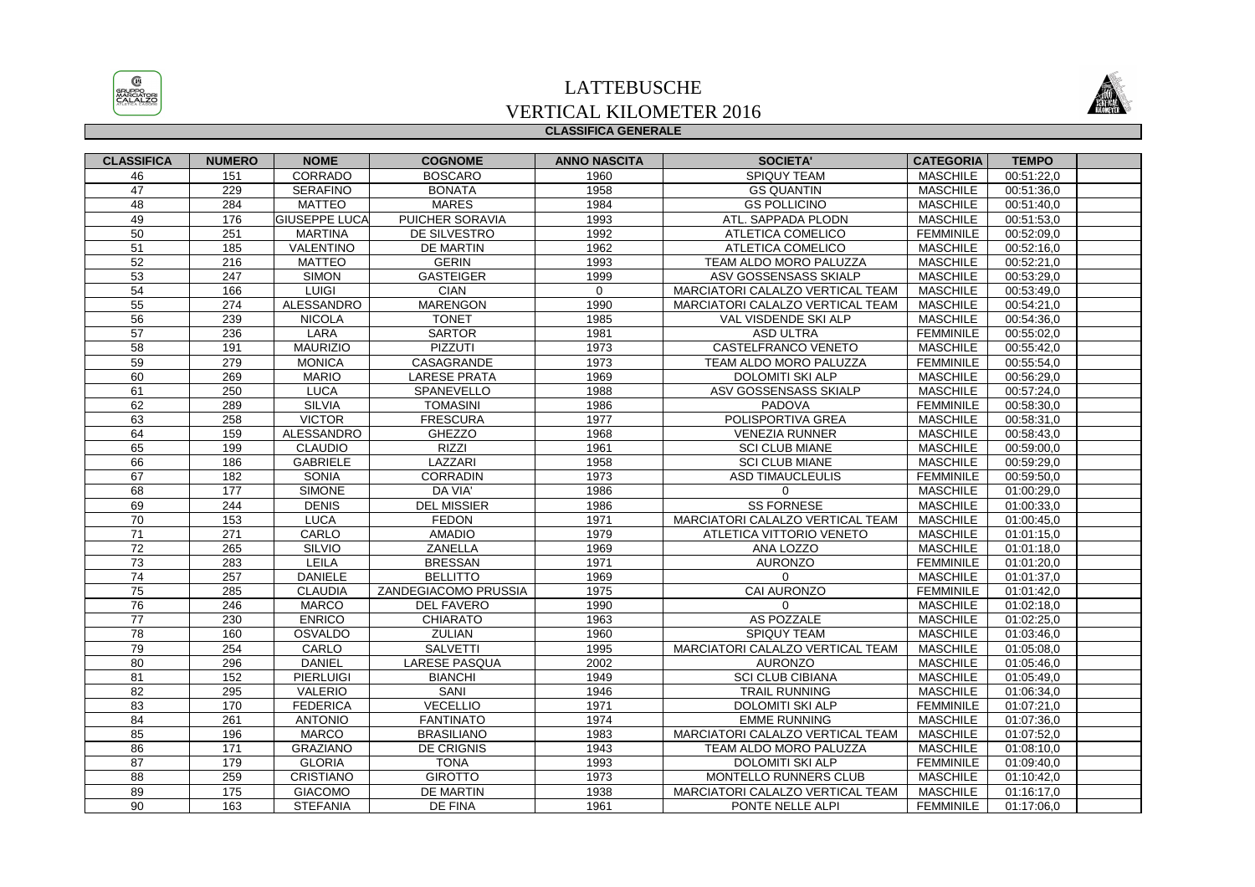

## **CLASSIFICA GENERALE**LATTEBUSCHE VERTICAL KILOMETER 2016



| <b>CLASSIFICA</b> | <b>NUMERO</b> | <b>NOME</b>          | <b>COGNOME</b>       | <b>ANNO NASCITA</b> | <b>SOCIETA'</b>                  | <b>CATEGORIA</b> | <b>TEMPO</b> |  |
|-------------------|---------------|----------------------|----------------------|---------------------|----------------------------------|------------------|--------------|--|
| 46                | 151           | CORRADO              | <b>BOSCARO</b>       | 1960                | SPIQUY TEAM                      | <b>MASCHILE</b>  | 00:51:22,0   |  |
| 47                | 229           | <b>SERAFINO</b>      | <b>BONATA</b>        | 1958                | <b>GS QUANTIN</b>                | <b>MASCHILE</b>  | 00:51:36.0   |  |
| 48                | 284           | <b>MATTEO</b>        | <b>MARES</b>         | 1984                | <b>GS POLLICINO</b>              | <b>MASCHILE</b>  | 00:51:40,0   |  |
| 49                | 176           | <b>GIUSEPPE LUCA</b> | PUICHER SORAVIA      | 1993                | ATL. SAPPADA PLODN               | <b>MASCHILE</b>  | 00:51:53.0   |  |
| 50                | 251           | <b>MARTINA</b>       | <b>DE SILVESTRO</b>  | 1992                | ATLETICA COMELICO                | <b>FEMMINILE</b> | 00:52:09.0   |  |
| 51                | 185           | VALENTINO            | DE MARTIN            | 1962                | ATLETICA COMELICO                | <b>MASCHILE</b>  | 00:52:16,0   |  |
| 52                | 216           | <b>MATTEO</b>        | <b>GERIN</b>         | 1993                | TEAM ALDO MORO PALUZZA           | <b>MASCHILE</b>  | 00:52:21.0   |  |
| 53                | 247           | <b>SIMON</b>         | <b>GASTEIGER</b>     | 1999                | ASV GOSSENSASS SKIALP            | <b>MASCHILE</b>  | 00:53:29,0   |  |
| 54                | 166           | LUIGI                | <b>CIAN</b>          | $\mathbf 0$         | MARCIATORI CALALZO VERTICAL TEAM | <b>MASCHILE</b>  | 00:53:49,0   |  |
| 55                | 274           | <b>ALESSANDRO</b>    | <b>MARENGON</b>      | 1990                | MARCIATORI CALALZO VERTICAL TEAM | <b>MASCHILE</b>  | 00:54:21,0   |  |
| 56                | 239           | <b>NICOLA</b>        | <b>TONET</b>         | 1985                | VAL VISDENDE SKI ALP             | <b>MASCHILE</b>  | 00:54:36.0   |  |
| 57                | 236           | LARA                 | <b>SARTOR</b>        | 1981                | <b>ASD ULTRA</b>                 | <b>FEMMINILE</b> | 00:55:02,0   |  |
| 58                | 191           | <b>MAURIZIO</b>      | <b>PIZZUTI</b>       | 1973                | CASTELFRANCO VENETO              | <b>MASCHILE</b>  | 00:55:42,0   |  |
| 59                | 279           | <b>MONICA</b>        | CASAGRANDE           | 1973                | TEAM ALDO MORO PALUZZA           | FEMMINILE        | 00:55:54,0   |  |
| 60                | 269           | <b>MARIO</b>         | <b>LARESE PRATA</b>  | 1969                | <b>DOLOMITI SKI ALP</b>          | <b>MASCHILE</b>  | 00:56:29.0   |  |
| 61                | 250           | <b>LUCA</b>          | SPANEVELLO           | 1988                | ASV GOSSENSASS SKIALP            | <b>MASCHILE</b>  | 00:57:24,0   |  |
| 62                | 289           | <b>SILVIA</b>        | <b>TOMASINI</b>      | 1986                | PADOVA                           | <b>FEMMINILE</b> | 00:58:30,0   |  |
| 63                | 258           | <b>VICTOR</b>        | <b>FRESCURA</b>      | 1977                | POLISPORTIVA GREA                | <b>MASCHILE</b>  | 00:58:31,0   |  |
| 64                | 159           | <b>ALESSANDRO</b>    | <b>GHEZZO</b>        | 1968                | <b>VENEZIA RUNNER</b>            | <b>MASCHILE</b>  | 00:58:43,0   |  |
| 65                | 199           | <b>CLAUDIO</b>       | <b>RIZZI</b>         | 1961                | <b>SCI CLUB MIANE</b>            | <b>MASCHILE</b>  | 00:59:00,0   |  |
| 66                | 186           | <b>GABRIELE</b>      | LAZZARI              | 1958                | <b>SCI CLUB MIANE</b>            | <b>MASCHILE</b>  | 00:59:29,0   |  |
| 67                | 182           | SONIA                | <b>CORRADIN</b>      | 1973                | <b>ASD TIMAUCLEULIS</b>          | <b>FEMMINILE</b> | 00:59:50,0   |  |
| 68                | 177           | <b>SIMONE</b>        | DA VIA'              | 1986                | $\mathbf 0$                      | <b>MASCHILE</b>  | 01:00:29,0   |  |
| 69                | 244           | <b>DENIS</b>         | <b>DEL MISSIER</b>   | 1986                | <b>SS FORNESE</b>                | <b>MASCHILE</b>  | 01:00:33,0   |  |
| 70                | 153           | <b>LUCA</b>          | <b>FEDON</b>         | 1971                | MARCIATORI CALALZO VERTICAL TEAM | <b>MASCHILE</b>  | 01:00:45,0   |  |
| 71                | 271           | CARLO                | <b>AMADIO</b>        | 1979                | ATLETICA VITTORIO VENETO         | <b>MASCHILE</b>  | 01:01:15.0   |  |
| 72                | 265           | SILVIO               | <b>ZANELLA</b>       | 1969                | ANA LOZZO                        | <b>MASCHILE</b>  | 01:01:18,0   |  |
| 73                | 283           | <b>LEILA</b>         | <b>BRESSAN</b>       | 1971                | <b>AURONZO</b>                   | <b>FEMMINILE</b> | 01:01:20,0   |  |
| 74                | 257           | <b>DANIELE</b>       | <b>BELLITTO</b>      | 1969                | $\mathbf{0}$                     | <b>MASCHILE</b>  | 01:01:37,0   |  |
| 75                | 285           | <b>CLAUDIA</b>       | ZANDEGIACOMO PRUSSIA | 1975                | <b>CAI AURONZO</b>               | <b>FEMMINILE</b> | 01:01:42.0   |  |
| 76                | 246           | <b>MARCO</b>         | <b>DEL FAVERO</b>    | 1990                | $\Omega$                         | <b>MASCHILE</b>  | 01:02:18,0   |  |
| 77                | 230           | <b>ENRICO</b>        | <b>CHIARATO</b>      | 1963                | AS POZZALE                       | <b>MASCHILE</b>  | 01:02:25,0   |  |
| 78                | 160           | <b>OSVALDO</b>       | <b>ZULIAN</b>        | 1960                | <b>SPIQUY TEAM</b>               | <b>MASCHILE</b>  | 01:03:46,0   |  |
| 79                | 254           | CARLO                | <b>SALVETTI</b>      | 1995                | MARCIATORI CALALZO VERTICAL TEAM | <b>MASCHILE</b>  | 01:05:08.0   |  |
| 80                | 296           | <b>DANIEL</b>        | LARESE PASQUA        | 2002                | <b>AURONZO</b>                   | <b>MASCHILE</b>  | 01:05:46,0   |  |
| 81                | 152           | <b>PIERLUIGI</b>     | <b>BIANCHI</b>       | 1949                | <b>SCI CLUB CIBIANA</b>          | <b>MASCHILE</b>  | 01:05:49,0   |  |
| $\overline{82}$   | 295           | VALERIO              | SANI                 | 1946                | TRAIL RUNNING                    | <b>MASCHILE</b>  | 01:06:34,0   |  |
| $\overline{83}$   | 170           | <b>FEDERICA</b>      | <b>VECELLIO</b>      | 1971                | <b>DOLOMITI SKI ALP</b>          | <b>FEMMINILE</b> | 01:07:21,0   |  |
| 84                | 261           | <b>ANTONIO</b>       | <b>FANTINATO</b>     | 1974                | <b>EMME RUNNING</b>              | <b>MASCHILE</b>  | 01:07:36,0   |  |
| 85                | 196           | <b>MARCO</b>         | <b>BRASILIANO</b>    | 1983                | MARCIATORI CALALZO VERTICAL TEAM | <b>MASCHILE</b>  | 01:07:52,0   |  |
| 86                | 171           | <b>GRAZIANO</b>      | DE CRIGNIS           | 1943                | TEAM ALDO MORO PALUZZA           | <b>MASCHILE</b>  | 01:08:10.0   |  |
| 87                | 179           | <b>GLORIA</b>        | <b>TONA</b>          | 1993                | <b>DOLOMITI SKI ALP</b>          | <b>FEMMINILE</b> | 01:09:40,0   |  |
| 88                | 259           | <b>CRISTIANO</b>     | <b>GIROTTO</b>       | 1973                | <b>MONTELLO RUNNERS CLUB</b>     | <b>MASCHILE</b>  | 01:10:42,0   |  |
| 89                | 175           | <b>GIACOMO</b>       | <b>DE MARTIN</b>     | 1938                | MARCIATORI CALALZO VERTICAL TEAM | <b>MASCHILE</b>  | 01:16:17,0   |  |
| 90                | 163           | <b>STEFANIA</b>      | DE FINA              | 1961                | PONTE NELLE ALPI                 | <b>FEMMINILE</b> | 01:17:06.0   |  |